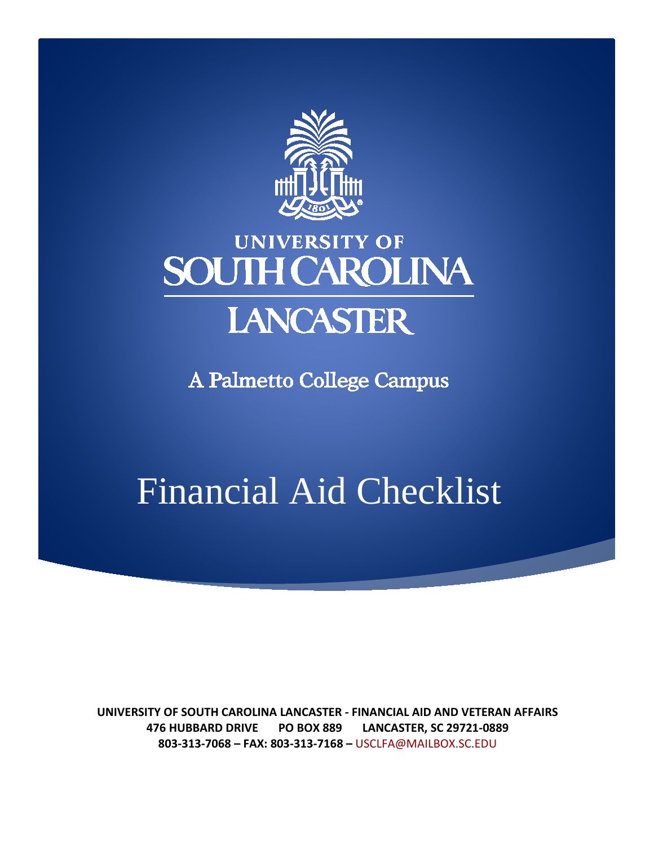

## **UNIVERSITY OF SOUTH CAROLINA LANCASTER**

A Palmetto College Campus

# Financial Aid Checklist

**UNIVERSITY OF SOUTH CAROLINA LANCASTER - FINANCIAL AID AND VETERAN AFFAIRS 476 HUBBARD DRIVE PO BOX 889 LANCASTER, SC 29721-0889 803-313-7068 – FAX: 803-313-7168 –** [USCLFA@MAILBOX.SC.EDU](mailto:USCLFA@MAILBOX.SC.EDU)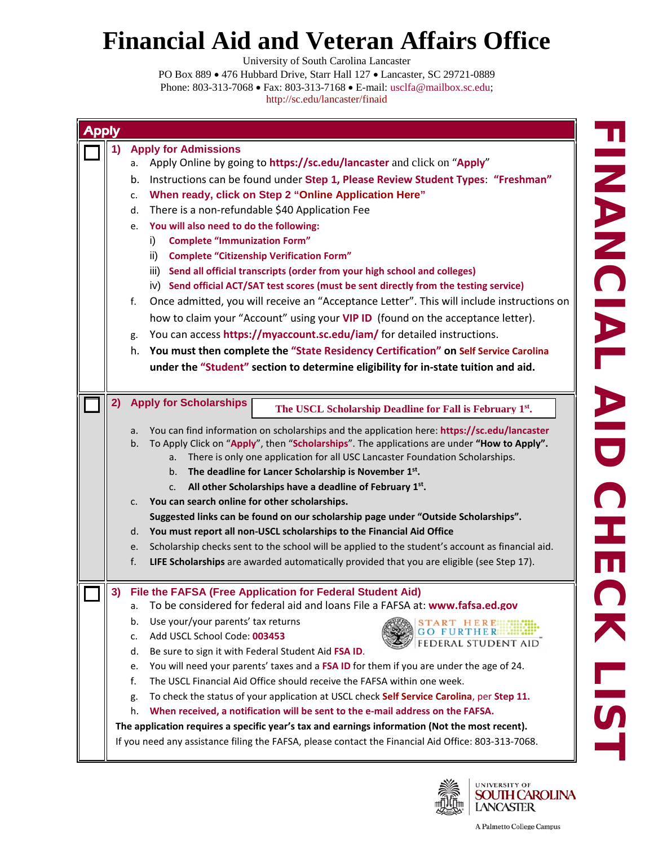University of South Carolina Lancaster

| <b>Apply</b> |                                                                                                                                                                                                       |
|--------------|-------------------------------------------------------------------------------------------------------------------------------------------------------------------------------------------------------|
| 1)           | <b>Apply for Admissions</b>                                                                                                                                                                           |
|              | Apply Online by going to https://sc.edu/lancaster and click on "Apply"<br>а.                                                                                                                          |
|              | Instructions can be found under Step 1, Please Review Student Types: "Freshman"<br>b.                                                                                                                 |
|              | When ready, click on Step 2 "Online Application Here"<br>c.                                                                                                                                           |
|              | There is a non-refundable \$40 Application Fee<br>d.                                                                                                                                                  |
|              | e. You will also need to do the following:                                                                                                                                                            |
|              | <b>Complete "Immunization Form"</b><br>i).                                                                                                                                                            |
|              | <b>Complete "Citizenship Verification Form"</b><br>ii)                                                                                                                                                |
|              | iii) Send all official transcripts (order from your high school and colleges)                                                                                                                         |
|              | iv) Send official ACT/SAT test scores (must be sent directly from the testing service)                                                                                                                |
|              | Once admitted, you will receive an "Acceptance Letter". This will include instructions on<br>f.                                                                                                       |
|              | how to claim your "Account" using your VIP ID (found on the acceptance letter).                                                                                                                       |
|              | You can access https://myaccount.sc.edu/iam/ for detailed instructions.<br>g.                                                                                                                         |
|              | You must then complete the "State Residency Certification" on Self Service Carolina<br>h.                                                                                                             |
|              | under the "Student" section to determine eligibility for in-state tuition and aid.                                                                                                                    |
|              |                                                                                                                                                                                                       |
| 2)           | <b>Apply for Scholarships</b><br>The USCL Scholarship Deadline for Fall is February 1st.                                                                                                              |
|              |                                                                                                                                                                                                       |
|              | You can find information on scholarships and the application here: https://sc.edu/lancaster<br>a.<br>To Apply Click on "Apply", then "Scholarships". The applications are under "How to Apply".<br>b. |
|              | There is only one application for all USC Lancaster Foundation Scholarships.<br>a.                                                                                                                    |
|              | The deadline for Lancer Scholarship is November 1st.<br>b.                                                                                                                                            |
|              | All other Scholarships have a deadline of February 1st.<br>c.                                                                                                                                         |
|              | You can search online for other scholarships.<br>c.                                                                                                                                                   |
|              | Suggested links can be found on our scholarship page under "Outside Scholarships".                                                                                                                    |
|              | You must report all non-USCL scholarships to the Financial Aid Office<br>d.                                                                                                                           |
|              | Scholarship checks sent to the school will be applied to the student's account as financial aid.<br>e.                                                                                                |
|              | f.<br>LIFE Scholarships are awarded automatically provided that you are eligible (see Step 17).                                                                                                       |
| 3)           | File the FAFSA (Free Application for Federal Student Aid)                                                                                                                                             |
|              | To be considered for federal aid and loans File a FAFSA at: www.fafsa.ed.gov<br>а.                                                                                                                    |
|              | Use your/your parents' tax returns<br>b.<br>START HERE                                                                                                                                                |
|              | <b>FURTHER</b><br>Add USCL School Code: 003453<br>c.<br><b>FEDERAL STUDENT AID</b>                                                                                                                    |
|              | Be sure to sign it with Federal Student Aid FSA ID.<br>d.                                                                                                                                             |
|              | You will need your parents' taxes and a FSA ID for them if you are under the age of 24.<br>e.                                                                                                         |
|              | The USCL Financial Aid Office should receive the FAFSA within one week.<br>f.                                                                                                                         |
|              | To check the status of your application at USCL check Self Service Carolina, per Step 11.<br>g.                                                                                                       |
|              | When received, a notification will be sent to the e-mail address on the FAFSA.<br>h.                                                                                                                  |
|              | The application requires a specific year's tax and earnings information (Not the most recent).                                                                                                        |
|              | If you need any assistance filing the FAFSA, please contact the Financial Aid Office: 803-313-7068.                                                                                                   |

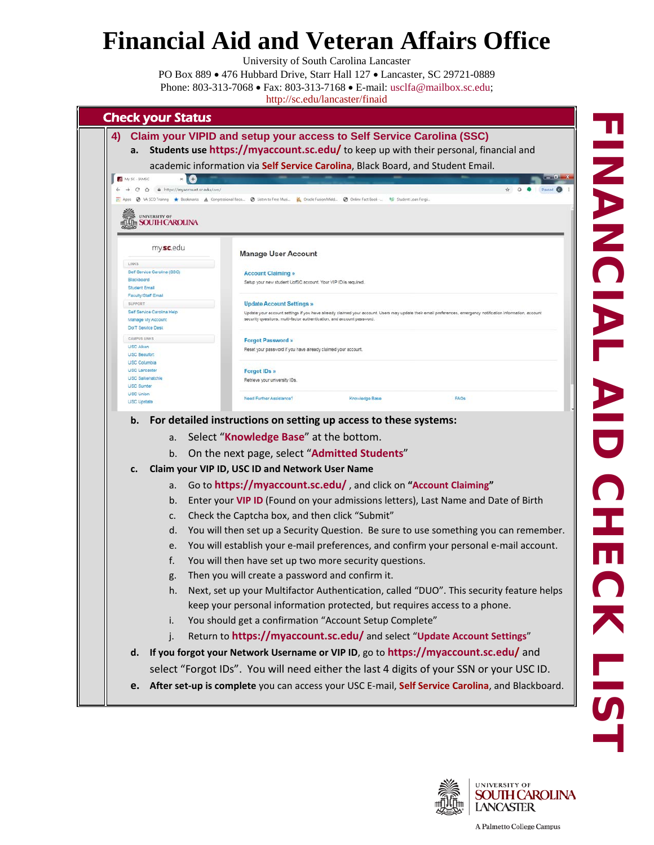University of South Carolina Lancaster



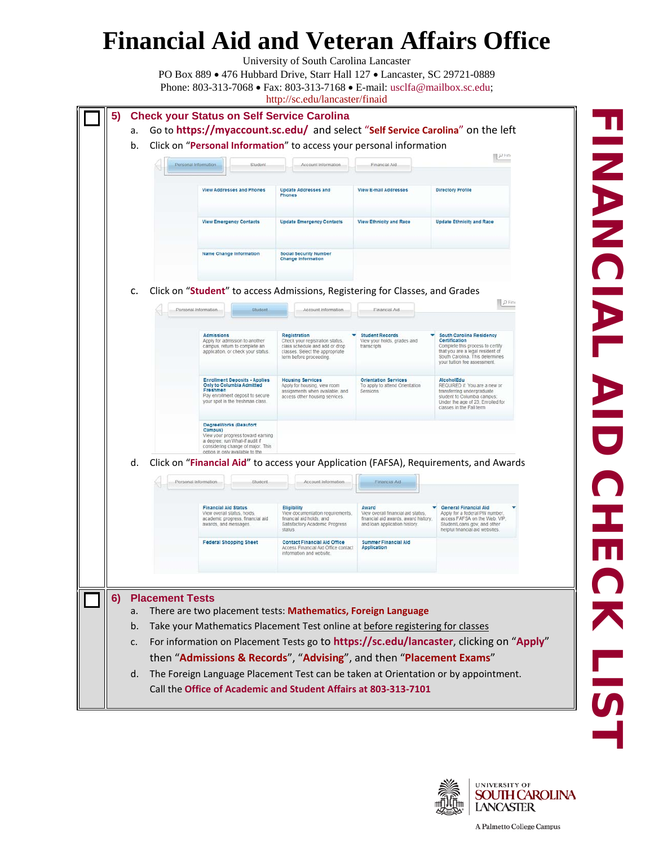University of South Carolina Lancaster



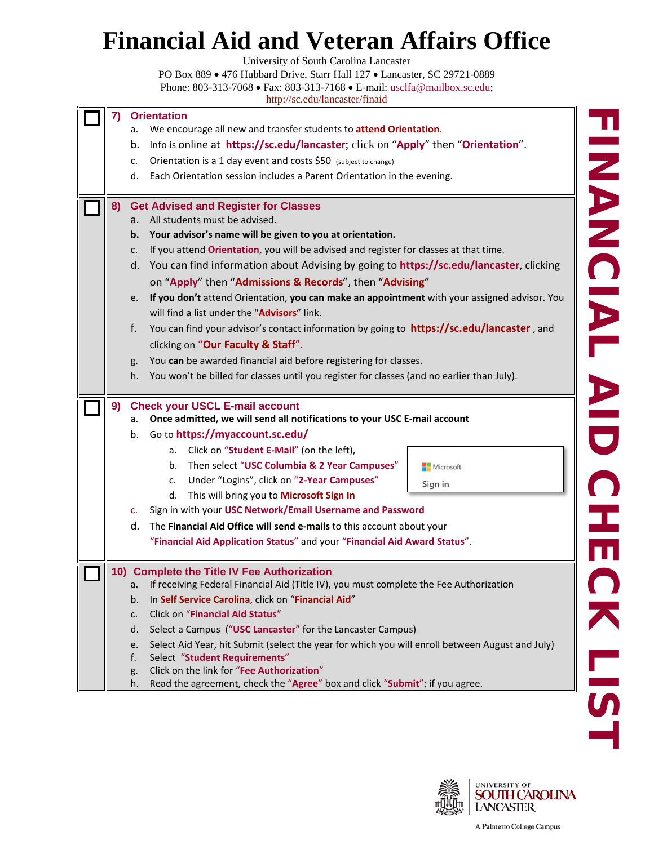University of South Carolina Lancaster

| 7) | <b>Orientation</b>                                                                                                                   |           |
|----|--------------------------------------------------------------------------------------------------------------------------------------|-----------|
|    | We encourage all new and transfer students to attend Orientation.<br>a.                                                              |           |
|    | Info is online at https://sc.edu/lancaster; click on "Apply" then "Orientation".<br>b.                                               |           |
|    | Orientation is a 1 day event and costs \$50 (subject to change)<br>c.                                                                |           |
|    | Each Orientation session includes a Parent Orientation in the evening.<br>d.                                                         |           |
| 8) | <b>Get Advised and Register for Classes</b>                                                                                          |           |
|    | All students must be advised.<br>a.                                                                                                  |           |
|    | Your advisor's name will be given to you at orientation.<br>b.                                                                       |           |
|    | If you attend Orientation, you will be advised and register for classes at that time.<br>c.                                          |           |
|    | d. You can find information about Advising by going to https://sc.edu/lancaster, clicking                                            |           |
|    | on "Apply" then "Admissions & Records", then "Advising"                                                                              |           |
|    | If you don't attend Orientation, you can make an appointment with your assigned advisor. You<br>e.                                   |           |
|    | will find a list under the "Advisors" link.                                                                                          |           |
|    | f.<br>You can find your advisor's contact information by going to <b>https://sc.edu/lancaster</b> , and                              |           |
|    | clicking on "Our Faculty & Staff".                                                                                                   |           |
|    | You can be awarded financial aid before registering for classes.<br>g.                                                               |           |
|    | You won't be billed for classes until you register for classes (and no earlier than July).<br>h.                                     |           |
|    |                                                                                                                                      |           |
| 9) | <b>Check your USCL E-mail account</b>                                                                                                |           |
|    | Once admitted, we will send all notifications to your USC E-mail account<br>а.                                                       |           |
|    | b. Go to https://myaccount.sc.edu/                                                                                                   |           |
|    | Click on "Student E-Mail" (on the left),<br>а.                                                                                       |           |
|    | Then select "USC Columbia & 2 Year Campuses"<br>b.                                                                                   | Microsoft |
|    | Under "Logins", click on "2-Year Campuses"<br>c.                                                                                     | Sign in   |
|    |                                                                                                                                      |           |
|    | This will bring you to Microsoft Sign In<br>d.                                                                                       |           |
|    | Sign in with your USC Network/Email Username and Password<br>c.                                                                      |           |
|    | The Financial Aid Office will send e-mails to this account about your<br>d.                                                          |           |
|    | "Financial Aid Application Status" and your "Financial Aid Award Status".                                                            |           |
|    | 10) Complete the Title IV Fee Authorization                                                                                          |           |
|    | If receiving Federal Financial Aid (Title IV), you must complete the Fee Authorization<br>a.                                         |           |
|    | In Self Service Carolina, click on "Financial Aid"<br>b.                                                                             |           |
|    | <b>Click on "Financial Aid Status"</b><br>c.                                                                                         |           |
|    | Select a Campus ("USC Lancaster" for the Lancaster Campus)<br>d.                                                                     |           |
|    | Select Aid Year, hit Submit (select the year for which you will enroll between August and July)<br>e.                                |           |
|    | Select "Student Requirements"<br>f.                                                                                                  |           |
|    | Click on the link for "Fee Authorization"<br>g.<br>Read the agreement, check the "Agree" box and click "Submit"; if you agree.<br>h. |           |



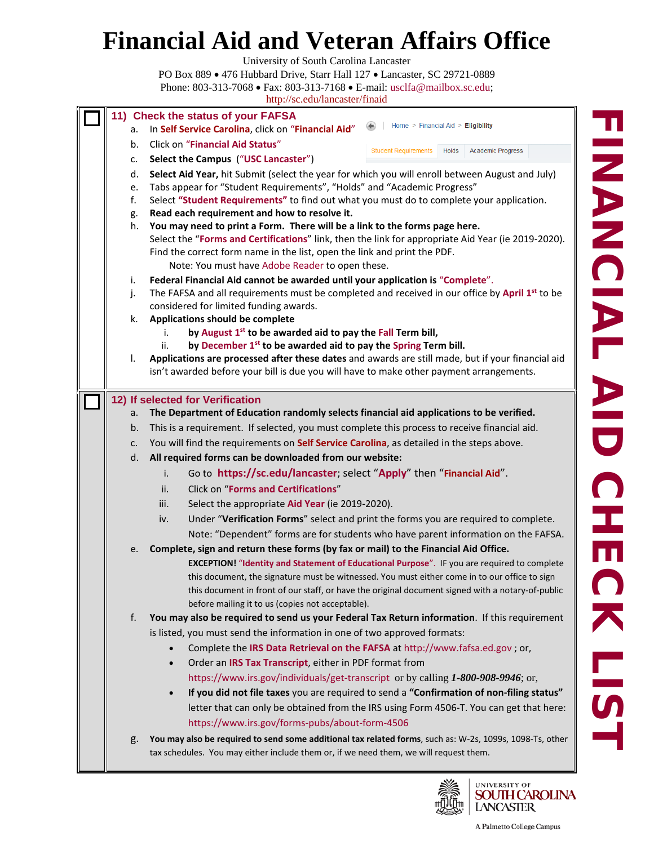University of South Carolina Lancaster

|    | http://sc.edu/lancaster/finaid                                                                                                                       |
|----|------------------------------------------------------------------------------------------------------------------------------------------------------|
|    | 11) Check the status of your FAFSA                                                                                                                   |
| а. | Home > Financial Aid > Eligibility<br>In Self Service Carolina, click on "Financial Aid"                                                             |
| b. | Click on "Financial Aid Status"<br><b>Holds</b>                                                                                                      |
| c. | <b>Student Requirements</b><br><b>Academic Progress</b><br>Select the Campus ("USC Lancaster")                                                       |
| d. | Select Aid Year, hit Submit (select the year for which you will enroll between August and July)                                                      |
| e. | Tabs appear for "Student Requirements", "Holds" and "Academic Progress"                                                                              |
| f. | Select "Student Requirements" to find out what you must do to complete your application.                                                             |
| g. | Read each requirement and how to resolve it.                                                                                                         |
| h. | You may need to print a Form. There will be a link to the forms page here.                                                                           |
|    | Select the "Forms and Certifications" link, then the link for appropriate Aid Year (ie 2019-2020).                                                   |
|    | Find the correct form name in the list, open the link and print the PDF.                                                                             |
|    | Note: You must have Adobe Reader to open these.                                                                                                      |
| i. | Federal Financial Aid cannot be awarded until your application is "Complete".                                                                        |
| j. | The FAFSA and all requirements must be completed and received in our office by April 1 <sup>st</sup> to be<br>considered for limited funding awards. |
| k. | Applications should be complete                                                                                                                      |
|    | <b>NANCIAI</b><br>by August 1st to be awarded aid to pay the Fall Term bill,<br>İ.                                                                   |
|    | by December 1 <sup>st</sup> to be awarded aid to pay the Spring Term bill.<br>ii.                                                                    |
| I. | Applications are processed after these dates and awards are still made, but if your financial aid                                                    |
|    | isn't awarded before your bill is due you will have to make other payment arrangements.                                                              |
|    |                                                                                                                                                      |
|    | 12) If selected for Verification                                                                                                                     |
| a. | The Department of Education randomly selects financial aid applications to be verified.                                                              |
| b. | This is a requirement. If selected, you must complete this process to receive financial aid.                                                         |
| c. | You will find the requirements on Self Service Carolina, as detailed in the steps above.                                                             |
| d. | All required forms can be downloaded from our website:                                                                                               |
|    | Go to https://sc.edu/lancaster; select "Apply" then "Financial Aid".<br>i.                                                                           |
|    | <b>Click on "Forms and Certifications"</b><br>ii.                                                                                                    |
|    | Select the appropriate Aid Year (ie 2019-2020).<br>iii.                                                                                              |
|    | Under "Verification Forms" select and print the forms you are required to complete.<br>iv.                                                           |
|    | Note: "Dependent" forms are for students who have parent information on the FAFSA.                                                                   |
| e. | Complete, sign and return these forms (by fax or mail) to the Financial Aid Office.                                                                  |
|    | EXCEPTION! "Identity and Statement of Educational Purpose". IF you are required to complete                                                          |
|    | this document, the signature must be witnessed. You must either come in to our office to sign                                                        |
|    | this document in front of our staff, or have the original document signed with a notary-of-public                                                    |
|    | before mailing it to us (copies not acceptable).                                                                                                     |
| f. | You may also be required to send us your Federal Tax Return information. If this requirement                                                         |
|    | is listed, you must send the information in one of two approved formats:                                                                             |
|    | Complete the IRS Data Retrieval on the FAFSA at http://www.fafsa.ed.gov ; or,                                                                        |
|    | Order an IRS Tax Transcript, either in PDF format from<br>$\bullet$                                                                                  |
|    | https://www.irs.gov/individuals/get-transcript or by calling 1-800-908-9946; or,                                                                     |
|    | If you did not file taxes you are required to send a "Confirmation of non-filing status"<br>$\bullet$                                                |
|    |                                                                                                                                                      |
|    | letter that can only be obtained from the IRS using Form 4506-T. You can get that here:                                                              |
|    | https://www.irs.gov/forms-pubs/about-form-4506                                                                                                       |
| g. | You may also be required to send some additional tax related forms, such as: W-2s, 1099s, 1098-Ts, other                                             |

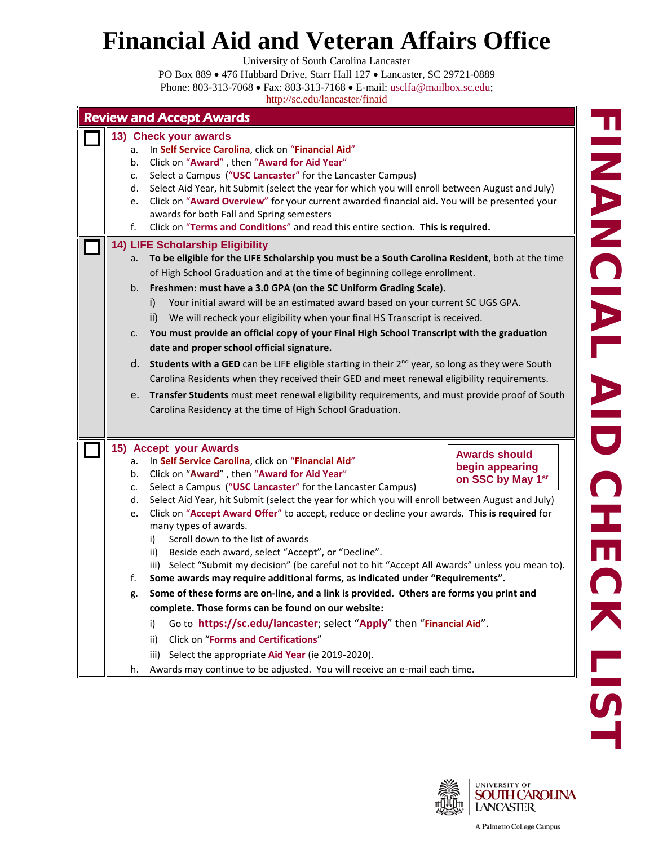University of South Carolina Lancaster

PO Box 889 • 476 Hubbard Drive, Starr Hall 127 • Lancaster, SC 29721-0889 Phone: 803-313-7068 • Fax: 803-313-7168 • E-mail: [usclfa@mailbox.sc.edu;](mailto:usclfa@mailbox.sc.edu)

|                                        | <b>Review and Accept Awards</b>                                                                                                                                                                                                                                                                                                                                                                                                                                                                                                                                                                                                                                                                                                                                                                                                                                                                                                                                                                                                    |                                                                                                                                                                                                                                                           |  |  |
|----------------------------------------|------------------------------------------------------------------------------------------------------------------------------------------------------------------------------------------------------------------------------------------------------------------------------------------------------------------------------------------------------------------------------------------------------------------------------------------------------------------------------------------------------------------------------------------------------------------------------------------------------------------------------------------------------------------------------------------------------------------------------------------------------------------------------------------------------------------------------------------------------------------------------------------------------------------------------------------------------------------------------------------------------------------------------------|-----------------------------------------------------------------------------------------------------------------------------------------------------------------------------------------------------------------------------------------------------------|--|--|
| a.<br>b.<br>c.<br>d.<br>e.<br>f.       | 13) Check your awards<br>In Self Service Carolina, click on "Financial Aid"<br>Click on "Award", then "Award for Aid Year"<br>Select a Campus ("USC Lancaster" for the Lancaster Campus)<br>Select Aid Year, hit Submit (select the year for which you will enroll between August and July)<br>Click on "Award Overview" for your current awarded financial aid. You will be presented your<br>awards for both Fall and Spring semesters<br>Click on "Terms and Conditions" and read this entire section. This is required.                                                                                                                                                                                                                                                                                                                                                                                                                                                                                                        |                                                                                                                                                                                                                                                           |  |  |
| a.<br>b.<br>c.<br>e.                   | To be eligible for the LIFE Scholarship you must be a South Carolina Resident, both at the time<br>of High School Graduation and at the time of beginning college enrollment.<br>Freshmen: must have a 3.0 GPA (on the SC Uniform Grading Scale).<br>Your initial award will be an estimated award based on your current SC UGS GPA.<br>i)<br>We will recheck your eligibility when your final HS Transcript is received.<br>ii)<br>You must provide an official copy of your Final High School Transcript with the graduation<br>date and proper school official signature.<br>Carolina Residents when they received their GED and meet renewal eligibility requirements.<br>Transfer Students must meet renewal eligibility requirements, and must provide proof of South<br>Carolina Residency at the time of High School Graduation.                                                                                                                                                                                           |                                                                                                                                                                                                                                                           |  |  |
| a.<br>b.<br>c.<br>d.<br>e.<br>f.<br>g. | In Self Service Carolina, click on "Financial Aid"<br>Click on "Award", then "Award for Aid Year"<br>Select a Campus ("USC Lancaster" for the Lancaster Campus)<br>Select Aid Year, hit Submit (select the year for which you will enroll between August and July)<br>Click on "Accept Award Offer" to accept, reduce or decline your awards. This is required for<br>many types of awards.<br>Scroll down to the list of awards<br>i)<br>ii) Beside each award, select "Accept", or "Decline".<br>iii) Select "Submit my decision" (be careful not to hit "Accept All Awards" unless you mean to).<br>Some awards may require additional forms, as indicated under "Requirements".<br>Some of these forms are on-line, and a link is provided. Others are forms you print and<br>complete. Those forms can be found on our website:<br>Go to https://sc.edu/lancaster; select "Apply" then "Financial Aid".<br>i)<br><b>Click on "Forms and Certifications"</b><br>ii)<br>Select the appropriate Aid Year (ie 2019-2020).<br>iii) | <b>Awards should</b><br>begin appearing<br>on SSC by May 1st                                                                                                                                                                                              |  |  |
|                                        | h.                                                                                                                                                                                                                                                                                                                                                                                                                                                                                                                                                                                                                                                                                                                                                                                                                                                                                                                                                                                                                                 | <b>14) LIFE Scholarship Eligibility</b><br>d. Students with a GED can be LIFE eligible starting in their $2^{nd}$ year, so long as they were South<br>15) Accept your Awards<br>Awards may continue to be adjusted. You will receive an e-mail each time. |  |  |



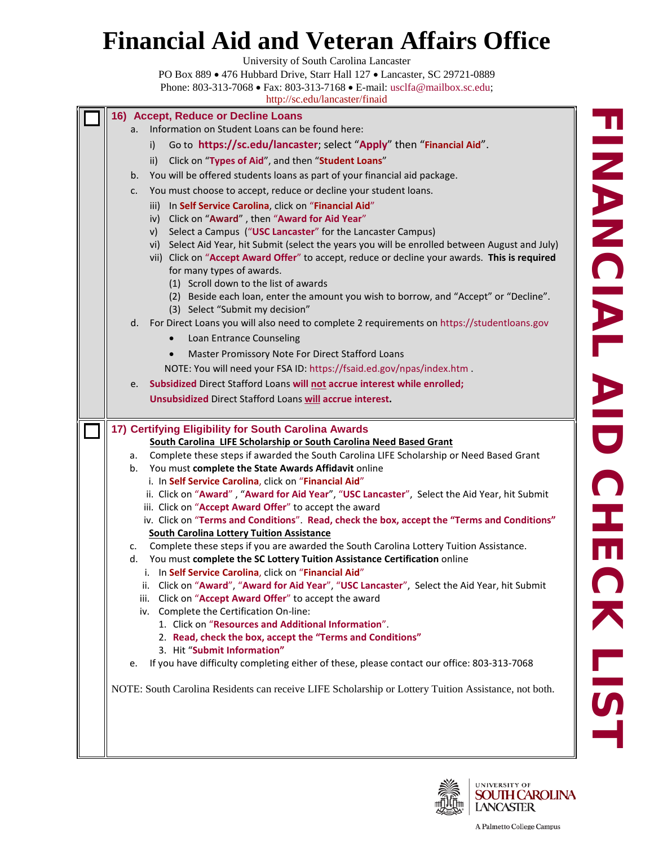University of South Carolina Lancaster

PO Box 889 • 476 Hubbard Drive, Starr Hall 127 • Lancaster, SC 29721-0889 Phone: 803-313-7068 • Fax: 803-313-7168 • E-mail: [usclfa@mailbox.sc.edu;](mailto:usclfa@mailbox.sc.edu)

<http://sc.edu/lancaster/finaid> **16) Accept, Reduce or Decline Loans** a. Information on Student Loans can be found here: i) Go to **<https://sc.edu/lancaster>**; select "**[Apply](http://usclancaster.sc.edu/admissions/index.html)**" then "**[Financial Aid](https://www.sc.edu/about/system_and_campuses/lancaster/internal/current_students/financial_aid/index.php)**". ii) Click on "**Types of Aid**", and then "**[Student Loans](https://www.sc.edu/about/system_and_campuses/palmetto_college/internal/current_students/financial_aid/types_of_aid/loans/index.php)**" b. You will be offered students loans as part of your financial aid package. c. You must choose to accept, reduce or decline your student loans. iii) In **[Self Service Carolina](https://myaccount.sc.edu/iam/#clink)**, click on "**[Financial Aid](https://www.sc.edu/about/system_and_campuses/lancaster/internal/current_students/financial_aid/index.php)**" iv) Click on "**Award**" , then "**Award for Aid Year**" v) Select a Campus ("**USC Lancaster**" for the Lancaster Campus) vi) Select Aid Year, hit Submit (select the years you will be enrolled between August and July) vii) Click on "**Accept Award Offer**" to accept, reduce or decline your awards. **This is required**  for many types of awards. (1) Scroll down to the list of awards (2) Beside each loan, enter the amount you wish to borrow, and "Accept" or "Decline". (3) Select "Submit my decision" d. For Direct Loans you will also need to complete 2 requirements on [https://studentloans.gov](https://studentloans.gov/) • Loan Entrance Counseling • Master Promissory Note For Direct Stafford Loans NOTE: You will need your FSA ID:<https://fsaid.ed.gov/npas/index.htm> . e. **Subsidized** Direct Stafford Loans **will not accrue interest while enrolled; Unsubsidized** Direct Stafford Loans **will accrue interest. 17) Certifying Eligibility for South Carolina Awards South Carolina LIFE Scholarship or South Carolina Need Based Grant** a. Complete these steps if awarded the South Carolina LIFE Scholarship or Need Based Grant b. You must **complete the State Awards Affidavit** online i. In **[Self Service Carolina](https://myaccount.sc.edu/iam/#clink)**, click on "**[Financial Aid](https://www.sc.edu/about/system_and_campuses/lancaster/internal/current_students/financial_aid/index.php)**" ii. Click on "**Award**" , "**Award for Aid Year**", "**USC Lancaster**", Select the Aid Year, hit Submit iii. Click on "**Accept Award Offer**" to accept the award iv. Click on "**Terms and Conditions**". **Read, check the box, accept the "Terms and Conditions" South Carolina Lottery Tuition Assistance** c. Complete these steps if you are awarded the South Carolina Lottery Tuition Assistance. d. You must **complete the SC Lottery Tuition Assistance Certification** online i. In **[Self Service Carolina](https://myaccount.sc.edu/iam/#clink)**, click on "**[Financial Aid](https://www.sc.edu/about/system_and_campuses/lancaster/internal/current_students/financial_aid/index.php)**" ii. Click on "**Award**", "**Award for Aid Year**", "**USC Lancaster**", Select the Aid Year, hit Submit iii. Click on "**Accept Award Offer**" to accept the award iv. Complete the Certification On-line: 1. Click on "**Resources and Additional Information**". 2. **Read, check the box, accept the "Terms and Conditions"** 3. Hit "**Submit Information"** e. If you have difficulty completing either of these, please contact our office: 803-313-7068 NOTE: South Carolina Residents can receive LIFE Scholarship or Lottery Tuition Assistance, not both.

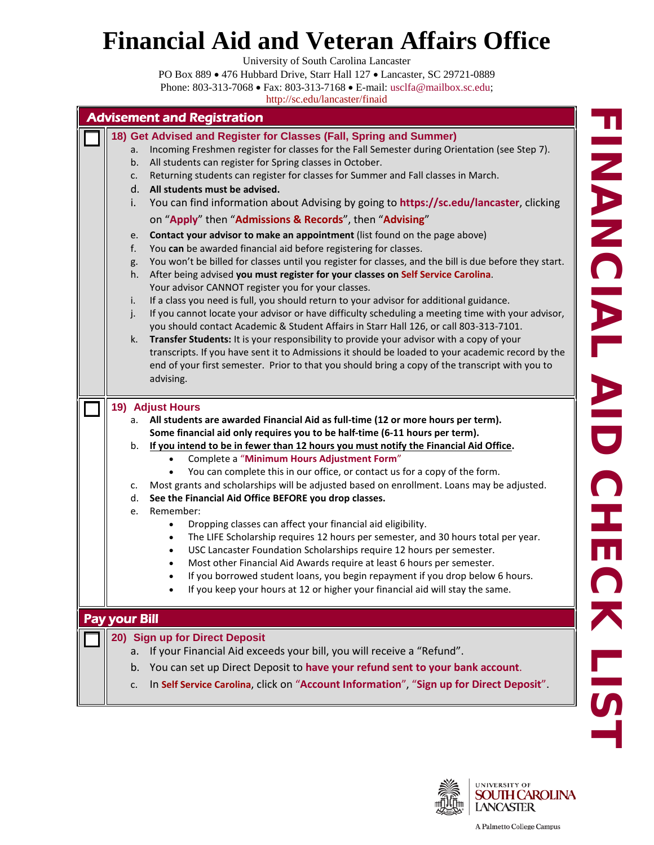University of South Carolina Lancaster

PO Box 889 • 476 Hubbard Drive, Starr Hall 127 • Lancaster, SC 29721-0889 Phone: 803-313-7068 • Fax: 803-313-7168 • E-mail: [usclfa@mailbox.sc.edu;](mailto:usclfa@mailbox.sc.edu)

| <b>Advisement and Registration</b>                                                                                                                                                                                                                                                                                                                                                                                                                                                                                                                                                                                                                                                                                                                                                                                                                                                                                                                                                                                                                      |
|---------------------------------------------------------------------------------------------------------------------------------------------------------------------------------------------------------------------------------------------------------------------------------------------------------------------------------------------------------------------------------------------------------------------------------------------------------------------------------------------------------------------------------------------------------------------------------------------------------------------------------------------------------------------------------------------------------------------------------------------------------------------------------------------------------------------------------------------------------------------------------------------------------------------------------------------------------------------------------------------------------------------------------------------------------|
| 18) Get Advised and Register for Classes (Fall, Spring and Summer)<br>Incoming Freshmen register for classes for the Fall Semester during Orientation (see Step 7).<br>a.<br>All students can register for Spring classes in October.<br>b.<br>Returning students can register for classes for Summer and Fall classes in March.<br>c.<br>All students must be advised.<br>d.<br>You can find information about Advising by going to https://sc.edu/lancaster, clicking<br>i.                                                                                                                                                                                                                                                                                                                                                                                                                                                                                                                                                                           |
| on "Apply" then "Admissions & Records", then "Advising"                                                                                                                                                                                                                                                                                                                                                                                                                                                                                                                                                                                                                                                                                                                                                                                                                                                                                                                                                                                                 |
| Contact your advisor to make an appointment (list found on the page above)<br>e.<br>You can be awarded financial aid before registering for classes.<br>f.<br>You won't be billed for classes until you register for classes, and the bill is due before they start.<br>g.<br>After being advised you must register for your classes on Self Service Carolina.<br>h.<br>Your advisor CANNOT register you for your classes.<br>If a class you need is full, you should return to your advisor for additional guidance.<br>i.<br>If you cannot locate your advisor or have difficulty scheduling a meeting time with your advisor,<br>j.<br>you should contact Academic & Student Affairs in Starr Hall 126, or call 803-313-7101.<br>Transfer Students: It is your responsibility to provide your advisor with a copy of your<br>k.<br>transcripts. If you have sent it to Admissions it should be loaded to your academic record by the<br>end of your first semester. Prior to that you should bring a copy of the transcript with you to<br>advising. |
| <b>19) Adjust Hours</b>                                                                                                                                                                                                                                                                                                                                                                                                                                                                                                                                                                                                                                                                                                                                                                                                                                                                                                                                                                                                                                 |
| All students are awarded Financial Aid as full-time (12 or more hours per term).<br>а.<br>Some financial aid only requires you to be half-time (6-11 hours per term).<br>If you intend to be in fewer than 12 hours you must notify the Financial Aid Office.<br>b.<br>Complete a "Minimum Hours Adjustment Form"<br>$\bullet$<br>You can complete this in our office, or contact us for a copy of the form.<br>$\bullet$<br>Most grants and scholarships will be adjusted based on enrollment. Loans may be adjusted.<br>c.<br>See the Financial Aid Office BEFORE you drop classes.<br>d.<br>Remember:<br>e.<br>Dropping classes can affect your financial aid eligibility.<br>$\bullet$<br>The LIFE Scholarship requires 12 hours per semester, and 30 hours total per year.<br>$\bullet$                                                                                                                                                                                                                                                            |
| USC Lancaster Foundation Scholarships require 12 hours per semester.<br>$\bullet$<br>Most other Financial Aid Awards require at least 6 hours per semester.<br>If you borrowed student loans, you begin repayment if you drop below 6 hours.<br>$\bullet$<br>If you keep your hours at 12 or higher your financial aid will stay the same.                                                                                                                                                                                                                                                                                                                                                                                                                                                                                                                                                                                                                                                                                                              |
| <b>Pay your Bill</b>                                                                                                                                                                                                                                                                                                                                                                                                                                                                                                                                                                                                                                                                                                                                                                                                                                                                                                                                                                                                                                    |
| 20) Sign up for Direct Deposit<br>If your Financial Aid exceeds your bill, you will receive a "Refund".<br>a.<br>You can set up Direct Deposit to have your refund sent to your bank account.<br>b.<br>In Self Service Carolina, click on "Account Information", "Sign up for Direct Deposit".                                                                                                                                                                                                                                                                                                                                                                                                                                                                                                                                                                                                                                                                                                                                                          |

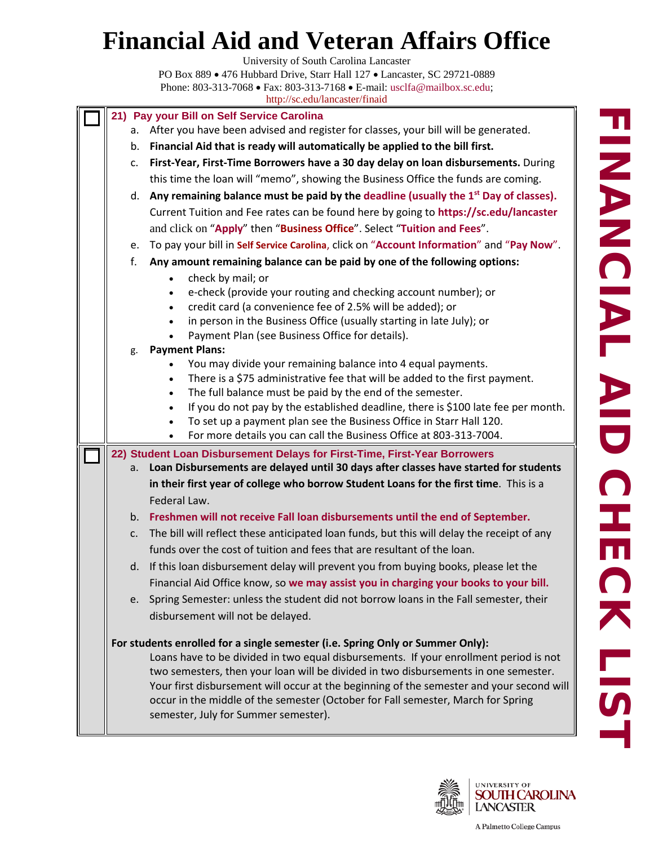University of South Carolina Lancaster





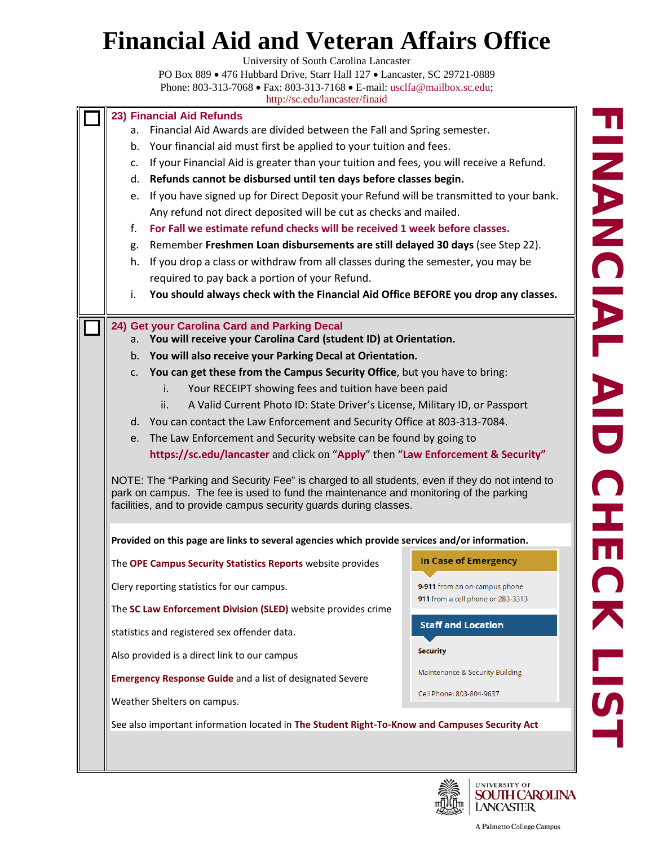University of South Carolina Lancaster

PO Box 889 • 476 Hubbard Drive, Starr Hall 127 • Lancaster, SC 29721-0889 Phone: 803-313-7068 • Fax: 803-313-7168 • E-mail: [usclfa@mailbox.sc.edu;](mailto:usclfa@mailbox.sc.edu) <http://sc.edu/lancaster/finaid>

| 23) Financial Aid Refunds                                                                                                                                                                                                                                    |                                                                                        |                                 |  |  |
|--------------------------------------------------------------------------------------------------------------------------------------------------------------------------------------------------------------------------------------------------------------|----------------------------------------------------------------------------------------|---------------------------------|--|--|
| Financial Aid Awards are divided between the Fall and Spring semester.<br>а.                                                                                                                                                                                 |                                                                                        |                                 |  |  |
| Your financial aid must first be applied to your tuition and fees.<br>b.                                                                                                                                                                                     |                                                                                        |                                 |  |  |
| If your Financial Aid is greater than your tuition and fees, you will receive a Refund.<br>c.                                                                                                                                                                |                                                                                        |                                 |  |  |
|                                                                                                                                                                                                                                                              | Refunds cannot be disbursed until ten days before classes begin.<br>d.                 |                                 |  |  |
| e.                                                                                                                                                                                                                                                           | If you have signed up for Direct Deposit your Refund will be transmitted to your bank. |                                 |  |  |
|                                                                                                                                                                                                                                                              | Any refund not direct deposited will be cut as checks and mailed.                      |                                 |  |  |
| f.                                                                                                                                                                                                                                                           | For Fall we estimate refund checks will be received 1 week before classes.             |                                 |  |  |
| g.                                                                                                                                                                                                                                                           | Remember Freshmen Loan disbursements are still delayed 30 days (see Step 22).          |                                 |  |  |
| h.                                                                                                                                                                                                                                                           | If you drop a class or withdraw from all classes during the semester, you may be       |                                 |  |  |
|                                                                                                                                                                                                                                                              | required to pay back a portion of your Refund.                                         |                                 |  |  |
| i.                                                                                                                                                                                                                                                           | You should always check with the Financial Aid Office BEFORE you drop any classes.     |                                 |  |  |
|                                                                                                                                                                                                                                                              | 24) Get your Carolina Card and Parking Decal                                           |                                 |  |  |
|                                                                                                                                                                                                                                                              | a. You will receive your Carolina Card (student ID) at Orientation.                    |                                 |  |  |
|                                                                                                                                                                                                                                                              | b. You will also receive your Parking Decal at Orientation.                            |                                 |  |  |
| c.                                                                                                                                                                                                                                                           | You can get these from the Campus Security Office, but you have to bring:              |                                 |  |  |
|                                                                                                                                                                                                                                                              | Your RECEIPT showing fees and tuition have been paid<br>i.                             |                                 |  |  |
|                                                                                                                                                                                                                                                              | A Valid Current Photo ID: State Driver's License, Military ID, or Passport<br>ii.      |                                 |  |  |
|                                                                                                                                                                                                                                                              | d. You can contact the Law Enforcement and Security Office at 803-313-7084.            |                                 |  |  |
| е.                                                                                                                                                                                                                                                           | The Law Enforcement and Security website can be found by going to                      |                                 |  |  |
|                                                                                                                                                                                                                                                              | https://sc.edu/lancaster and click on "Apply" then "Law Enforcement & Security"        |                                 |  |  |
| NOTE: The "Parking and Security Fee" is charged to all students, even if they do not intend to<br>park on campus. The fee is used to fund the maintenance and monitoring of the parking<br>facilities, and to provide campus security guards during classes. |                                                                                        |                                 |  |  |
| Provided on this page are links to several agencies which provide services and/or information.                                                                                                                                                               |                                                                                        |                                 |  |  |
|                                                                                                                                                                                                                                                              | The OPE Campus Security Statistics Reports website provides                            | <b>In Case of Emergency</b>     |  |  |
|                                                                                                                                                                                                                                                              | Clery reporting statistics for our campus.                                             | 9-911 from an on-campus phone   |  |  |
| 911 from a cell phone or 283-3313<br>The SC Law Enforcement Division (SLED) website provides crime                                                                                                                                                           |                                                                                        |                                 |  |  |
|                                                                                                                                                                                                                                                              | statistics and registered sex offender data.                                           | <b>Staff and Location</b>       |  |  |
|                                                                                                                                                                                                                                                              | Also provided is a direct link to our campus                                           | <b>Security</b>                 |  |  |
|                                                                                                                                                                                                                                                              | <b>Emergency Response Guide and a list of designated Severe</b>                        | Maintenance & Security Building |  |  |
|                                                                                                                                                                                                                                                              | Weather Shelters on campus.                                                            | Cell Phone: 803-804-9637        |  |  |
| See also important information located in The Student Right-To-Know and Campuses Security Act                                                                                                                                                                |                                                                                        |                                 |  |  |
|                                                                                                                                                                                                                                                              |                                                                                        |                                 |  |  |



UNIVERSITY OF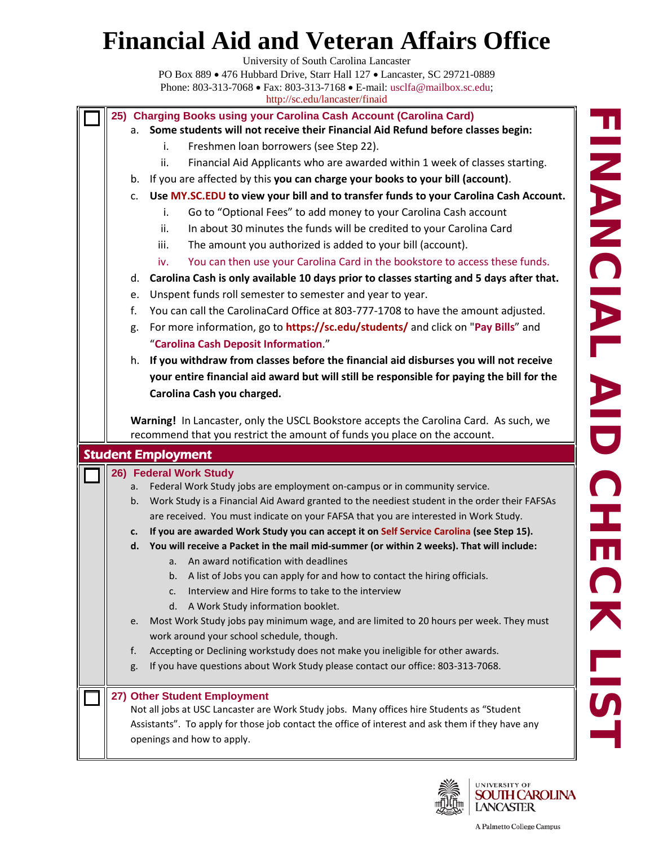University of South Carolina Lancaster

PO Box 889 • 476 Hubbard Drive, Starr Hall 127 • Lancaster, SC 29721-0889 Phone: 803-313-7068 • Fax: 803-313-7168 • E-mail: [usclfa@mailbox.sc.edu;](mailto:usclfa@mailbox.sc.edu) <http://sc.edu/lancaster/finaid>

**25) Charging Books using your Carolina Cash Account (Carolina Card)**

#### a. **Some students will not receive their Financial Aid Refund before classes begin:**

- i. Freshmen loan borrowers (see Step 22).
- ii. Financial Aid Applicants who are awarded within 1 week of classes starting.
- b. If you are affected by this **you can charge your books to your bill (account)**.
- c. **Use [MY.SC.EDU](http://my.sc.edu/) to view your bill and to transfer funds to your Carolina Cash Account.** 
	- i. Go to "Optional Fees" to add money to your Carolina Cash account
	- ii. In about 30 minutes the funds will be credited to your Carolina Card
	- iii. The amount you authorized is added to your bill (account).
	- iv. You can then use your Carolina Card in the bookstore to access these funds.
- d. **Carolina Cash is only available 10 days prior to classes starting and 5 days after that.**
- e. Unspent funds roll semester to semester and year to year.
- f. You can call the CarolinaCard Office at 803-777-1708 to have the amount adjusted.
- g. For more information, go to **<https://sc.edu/students/>** and click on "**Pay Bills**" and "**Carolina Cash Deposit Information**."
- h. **If you withdraw from classes before the financial aid disburses you will not receive your entire financial aid award but will still be responsible for paying the bill for the Carolina Cash you charged.**

**Warning!** In Lancaster, only the USCL Bookstore accepts the Carolina Card. As such, we recommend that you restrict the amount of funds you place on the account.

| <b>Student Employment</b> |                                                                                                  |  |  |  |
|---------------------------|--------------------------------------------------------------------------------------------------|--|--|--|
| 26) Federal Work Study    |                                                                                                  |  |  |  |
| a.                        | Federal Work Study jobs are employment on-campus or in community service.                        |  |  |  |
| $b_{\cdot}$               | Work Study is a Financial Aid Award granted to the neediest student in the order their FAFSAs    |  |  |  |
|                           | are received. You must indicate on your FAFSA that you are interested in Work Study.             |  |  |  |
| c.                        | If you are awarded Work Study you can accept it on Self Service Carolina (see Step 15).          |  |  |  |
|                           | d. You will receive a Packet in the mail mid-summer (or within 2 weeks). That will include:      |  |  |  |
|                           | a. An award notification with deadlines                                                          |  |  |  |
|                           | b. A list of Jobs you can apply for and how to contact the hiring officials.                     |  |  |  |
|                           | Interview and Hire forms to take to the interview<br>C <sub>1</sub>                              |  |  |  |
|                           | d. A Work Study information booklet.                                                             |  |  |  |
| e.                        | Most Work Study jobs pay minimum wage, and are limited to 20 hours per week. They must           |  |  |  |
|                           | work around your school schedule, though.                                                        |  |  |  |
| f.                        | Accepting or Declining workstudy does not make you ineligible for other awards.                  |  |  |  |
| g.                        | If you have questions about Work Study please contact our office: 803-313-7068.                  |  |  |  |
|                           | 27) Other Student Employment                                                                     |  |  |  |
|                           | Not all jobs at USC Lancaster are Work Study jobs. Many offices hire Students as "Student        |  |  |  |
|                           | Assistants". To apply for those job contact the office of interest and ask them if they have any |  |  |  |
|                           | openings and how to apply.                                                                       |  |  |  |
|                           |                                                                                                  |  |  |  |

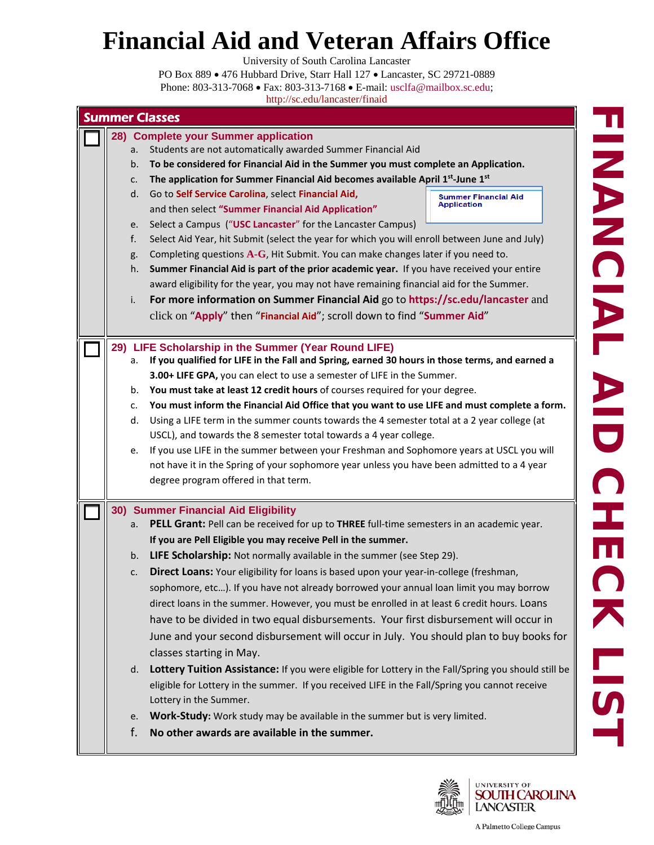University of South Carolina Lancaster

PO Box 889 • 476 Hubbard Drive, Starr Hall 127 • Lancaster, SC 29721-0889 Phone: 803-313-7068 • Fax: 803-313-7168 • E-mail: [usclfa@mailbox.sc.edu;](mailto:usclfa@mailbox.sc.edu)

| 28) Complete your Summer application<br>Students are not automatically awarded Summer Financial Aid<br>To be considered for Financial Aid in the Summer you must complete an Application.<br>The application for Summer Financial Aid becomes available April 1 <sup>st</sup> -June 1st<br>Go to Self Service Carolina, select Financial Aid,<br><b>Summer Financial Aid</b><br><b>Application</b><br>and then select "Summer Financial Aid Application"<br>Select a Campus ("USC Lancaster" for the Lancaster Campus)<br>Select Aid Year, hit Submit (select the year for which you will enroll between June and July)<br>Completing questions A-G, Hit Submit. You can make changes later if you need to.<br>Summer Financial Aid is part of the prior academic year. If you have received your entire<br>award eligibility for the year, you may not have remaining financial aid for the Summer.<br>For more information on Summer Financial Aid go to https://sc.edu/lancaster and<br>click on "Apply" then "Financial Aid"; scroll down to find "Summer Aid"<br>29) LIFE Scholarship in the Summer (Year Round LIFE) |
|----------------------------------------------------------------------------------------------------------------------------------------------------------------------------------------------------------------------------------------------------------------------------------------------------------------------------------------------------------------------------------------------------------------------------------------------------------------------------------------------------------------------------------------------------------------------------------------------------------------------------------------------------------------------------------------------------------------------------------------------------------------------------------------------------------------------------------------------------------------------------------------------------------------------------------------------------------------------------------------------------------------------------------------------------------------------------------------------------------------------------|
|                                                                                                                                                                                                                                                                                                                                                                                                                                                                                                                                                                                                                                                                                                                                                                                                                                                                                                                                                                                                                                                                                                                            |
| If you qualified for LIFE in the Fall and Spring, earned 30 hours in those terms, and earned a<br>3.00+ LIFE GPA, you can elect to use a semester of LIFE in the Summer.<br>You must take at least 12 credit hours of courses required for your degree.<br>You must inform the Financial Aid Office that you want to use LIFE and must complete a form.<br>Using a LIFE term in the summer counts towards the 4 semester total at a 2 year college (at<br>USCL), and towards the 8 semester total towards a 4 year college.<br>If you use LIFE in the summer between your Freshman and Sophomore years at USCL you will<br>not have it in the Spring of your sophomore year unless you have been admitted to a 4 year<br>degree program offered in that term.                                                                                                                                                                                                                                                                                                                                                              |
| 30) Summer Financial Aid Eligibility<br>PELL Grant: Pell can be received for up to THREE full-time semesters in an academic year.<br>If you are Pell Eligible you may receive Pell in the summer.<br>LIFE Scholarship: Not normally available in the summer (see Step 29).<br>Direct Loans: Your eligibility for loans is based upon your year-in-college (freshman,<br>sophomore, etc). If you have not already borrowed your annual loan limit you may borrow<br>direct loans in the summer. However, you must be enrolled in at least 6 credit hours. Loans<br>have to be divided in two equal disbursements. Your first disbursement will occur in<br>June and your second disbursement will occur in July. You should plan to buy books for<br>classes starting in May.<br>Lottery Tuition Assistance: If you were eligible for Lottery in the Fall/Spring you should still be<br>eligible for Lottery in the summer. If you received LIFE in the Fall/Spring you cannot receive<br>Lottery in the Summer.                                                                                                            |
|                                                                                                                                                                                                                                                                                                                                                                                                                                                                                                                                                                                                                                                                                                                                                                                                                                                                                                                                                                                                                                                                                                                            |



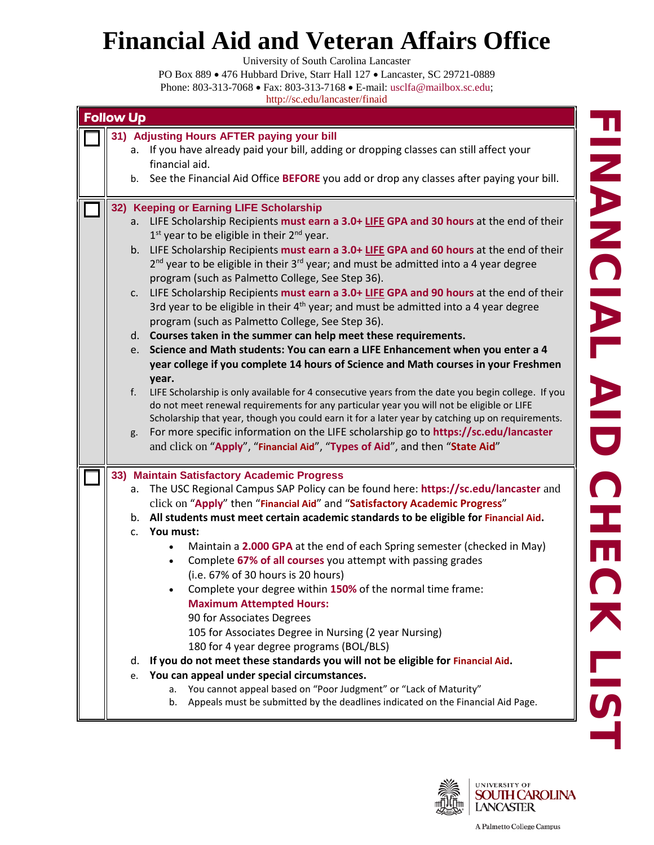University of South Carolina Lancaster

| <b>Follow Up</b>                                                                                                  |  |  |  |  |
|-------------------------------------------------------------------------------------------------------------------|--|--|--|--|
| 31) Adjusting Hours AFTER paying your bill                                                                        |  |  |  |  |
| If you have already paid your bill, adding or dropping classes can still affect your<br>а.                        |  |  |  |  |
| financial aid.                                                                                                    |  |  |  |  |
| See the Financial Aid Office BEFORE you add or drop any classes after paying your bill.<br>b.                     |  |  |  |  |
|                                                                                                                   |  |  |  |  |
| 32) Keeping or Earning LIFE Scholarship                                                                           |  |  |  |  |
| a. LIFE Scholarship Recipients must earn a 3.0+ LIFE GPA and 30 hours at the end of their                         |  |  |  |  |
| $1st$ year to be eligible in their $2nd$ year.                                                                    |  |  |  |  |
| b. LIFE Scholarship Recipients must earn a 3.0+ LIFE GPA and 60 hours at the end of their                         |  |  |  |  |
| $2^{nd}$ year to be eligible in their $3^{rd}$ year; and must be admitted into a 4 year degree                    |  |  |  |  |
| program (such as Palmetto College, See Step 36).                                                                  |  |  |  |  |
| LIFE Scholarship Recipients must earn a 3.0+ LIFE GPA and 90 hours at the end of their<br>C.                      |  |  |  |  |
| 3rd year to be eligible in their $4th$ year; and must be admitted into a 4 year degree                            |  |  |  |  |
| program (such as Palmetto College, See Step 36).                                                                  |  |  |  |  |
| d. Courses taken in the summer can help meet these requirements.                                                  |  |  |  |  |
| e. Science and Math students: You can earn a LIFE Enhancement when you enter a 4                                  |  |  |  |  |
| year college if you complete 14 hours of Science and Math courses in your Freshmen                                |  |  |  |  |
|                                                                                                                   |  |  |  |  |
| year.<br>LIFE Scholarship is only available for 4 consecutive years from the date you begin college. If you<br>f. |  |  |  |  |
| do not meet renewal requirements for any particular year you will not be eligible or LIFE                         |  |  |  |  |
| Scholarship that year, though you could earn it for a later year by catching up on requirements.                  |  |  |  |  |
| For more specific information on the LIFE scholarship go to https://sc.edu/lancaster<br>g.                        |  |  |  |  |
| and click on "Apply", "Financial Aid", "Types of Aid", and then "State Aid"                                       |  |  |  |  |
|                                                                                                                   |  |  |  |  |
| 33) Maintain Satisfactory Academic Progress                                                                       |  |  |  |  |
| The USC Regional Campus SAP Policy can be found here: https://sc.edu/lancaster and<br>а.                          |  |  |  |  |
| click on "Apply" then "Financial Aid" and "Satisfactory Academic Progress"                                        |  |  |  |  |
| b. All students must meet certain academic standards to be eligible for Financial Aid.                            |  |  |  |  |
| c. You must:                                                                                                      |  |  |  |  |
| Maintain a 2.000 GPA at the end of each Spring semester (checked in May)<br>$\bullet$                             |  |  |  |  |
| Complete 67% of all courses you attempt with passing grades                                                       |  |  |  |  |
| $\bullet$<br>(i.e. 67% of 30 hours is 20 hours)                                                                   |  |  |  |  |
|                                                                                                                   |  |  |  |  |
| Complete your degree within 150% of the normal time frame:                                                        |  |  |  |  |
| <b>Maximum Attempted Hours:</b>                                                                                   |  |  |  |  |
| 90 for Associates Degrees                                                                                         |  |  |  |  |
| 105 for Associates Degree in Nursing (2 year Nursing)                                                             |  |  |  |  |
| 180 for 4 year degree programs (BOL/BLS)                                                                          |  |  |  |  |
| If you do not meet these standards you will not be eligible for Financial Aid.<br>d.                              |  |  |  |  |
| You can appeal under special circumstances.<br>e.                                                                 |  |  |  |  |
| You cannot appeal based on "Poor Judgment" or "Lack of Maturity"<br>a.                                            |  |  |  |  |
| Appeals must be submitted by the deadlines indicated on the Financial Aid Page.<br>b.                             |  |  |  |  |
|                                                                                                                   |  |  |  |  |

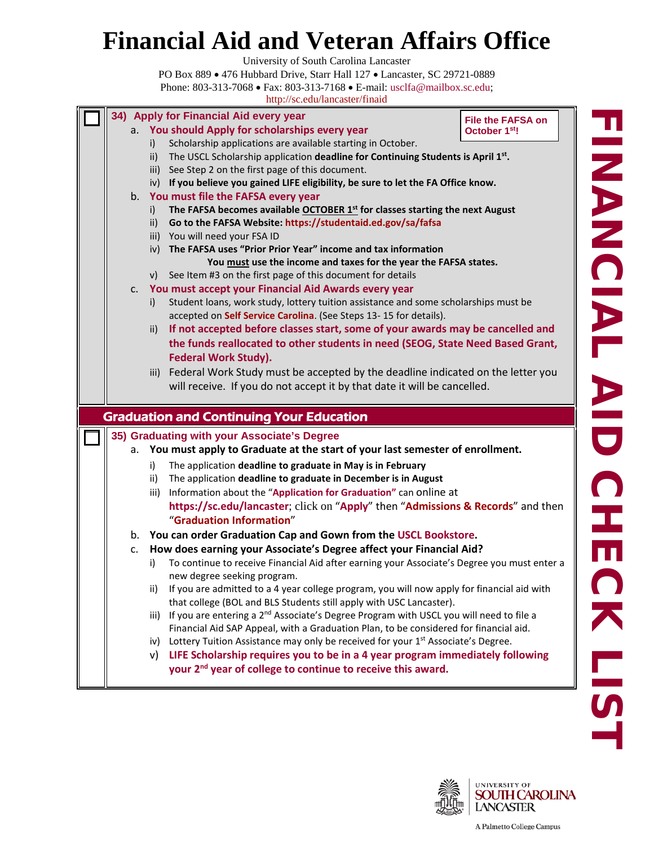University of South Carolina Lancaster

PO Box 889 • 476 Hubbard Drive, Starr Hall 127 • Lancaster, SC 29721-0889 Phone: 803-313-7068 • Fax: 803-313-7168 • E-mail: [usclfa@mailbox.sc.edu;](mailto:usclfa@mailbox.sc.edu)

|    |           | 34) Apply for Financial Aid every year<br>a. You should Apply for scholarships every year                                                                                 | <b>File the FAFSA on</b>  |
|----|-----------|---------------------------------------------------------------------------------------------------------------------------------------------------------------------------|---------------------------|
|    |           | Scholarship applications are available starting in October.                                                                                                               | October 1 <sup>st</sup> ! |
|    | i)<br>ii) | The USCL Scholarship application deadline for Continuing Students is April 1st.                                                                                           |                           |
|    |           | iii) See Step 2 on the first page of this document.                                                                                                                       |                           |
|    |           | iv) If you believe you gained LIFE eligibility, be sure to let the FA Office know.                                                                                        |                           |
|    |           | b. You must file the FAFSA every year                                                                                                                                     |                           |
|    | i)        | The FAFSA becomes available OCTOBER 1st for classes starting the next August                                                                                              |                           |
|    | ii)       | Go to the FAFSA Website: https://studentaid.ed.gov/sa/fafsa                                                                                                               |                           |
|    |           | iii) You will need your FSA ID                                                                                                                                            |                           |
|    |           | iv) The FAFSA uses "Prior Prior Year" income and tax information                                                                                                          |                           |
|    |           | You must use the income and taxes for the year the FAFSA states.                                                                                                          |                           |
|    | V)        | See Item #3 on the first page of this document for details                                                                                                                |                           |
| C. |           | You must accept your Financial Aid Awards every year                                                                                                                      |                           |
|    | i)        | Student loans, work study, lottery tuition assistance and some scholarships must be                                                                                       |                           |
|    |           | accepted on Self Service Carolina. (See Steps 13-15 for details).                                                                                                         |                           |
|    | ii)       | If not accepted before classes start, some of your awards may be cancelled and                                                                                            |                           |
|    |           | the funds reallocated to other students in need (SEOG, State Need Based Grant,                                                                                            |                           |
|    |           |                                                                                                                                                                           |                           |
|    |           | <b>Federal Work Study).</b>                                                                                                                                               |                           |
|    |           | iii) Federal Work Study must be accepted by the deadline indicated on the letter you                                                                                      |                           |
|    |           | will receive. If you do not accept it by that date it will be cancelled.                                                                                                  |                           |
|    |           |                                                                                                                                                                           |                           |
|    |           | <b>Graduation and Continuing Your Education</b>                                                                                                                           |                           |
|    |           | 35) Graduating with your Associate's Degree                                                                                                                               |                           |
|    |           | a. You must apply to Graduate at the start of your last semester of enrollment.                                                                                           |                           |
|    | i)        | The application deadline to graduate in May is in February                                                                                                                |                           |
|    | ii)       | The application deadline to graduate in December is in August                                                                                                             |                           |
|    | iii)      | Information about the "Application for Graduation" can online at                                                                                                          |                           |
|    |           | https://sc.edu/lancaster; click on "Apply" then "Admissions & Records" and then                                                                                           |                           |
|    |           | "Graduation Information"                                                                                                                                                  |                           |
|    |           | b. You can order Graduation Cap and Gown from the USCL Bookstore.                                                                                                         |                           |
| c. |           | How does earning your Associate's Degree affect your Financial Aid?                                                                                                       |                           |
|    | i)        | To continue to receive Financial Aid after earning your Associate's Degree you must enter a                                                                               |                           |
|    |           | new degree seeking program.                                                                                                                                               |                           |
|    | ii)       | If you are admitted to a 4 year college program, you will now apply for financial aid with                                                                                |                           |
|    | iii)      | that college (BOL and BLS Students still apply with USC Lancaster).<br>If you are entering a 2 <sup>nd</sup> Associate's Degree Program with USCL you will need to file a |                           |
|    |           | Financial Aid SAP Appeal, with a Graduation Plan, to be considered for financial aid.                                                                                     |                           |
|    | iv)       | Lottery Tuition Assistance may only be received for your 1 <sup>st</sup> Associate's Degree.                                                                              |                           |
|    | V)        | LIFE Scholarship requires you to be in a 4 year program immediately following                                                                                             |                           |